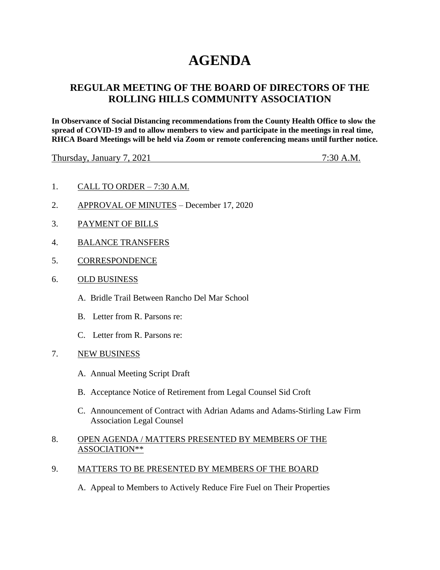# **AGENDA**

## **REGULAR MEETING OF THE BOARD OF DIRECTORS OF THE ROLLING HILLS COMMUNITY ASSOCIATION**

**In Observance of Social Distancing recommendations from the County Health Office to slow the spread of COVID-19 and to allow members to view and participate in the meetings in real time, RHCA Board Meetings will be held via Zoom or remote conferencing means until further notice.** 

Thursday, January 7, 2021 7:30 A.M.

- 1. CALL TO ORDER 7:30 A.M.
- 2. APPROVAL OF MINUTES December 17, 2020
- 3. PAYMENT OF BILLS
- 4. BALANCE TRANSFERS
- 5. CORRESPONDENCE
- 6. OLD BUSINESS
	- A. Bridle Trail Between Rancho Del Mar School
	- B. Letter from R. Parsons re:
	- C. Letter from R. Parsons re:
- 7. NEW BUSINESS
	- A. Annual Meeting Script Draft
	- B. Acceptance Notice of Retirement from Legal Counsel Sid Croft
	- C. Announcement of Contract with Adrian Adams and Adams-Stirling Law Firm Association Legal Counsel

### 8. OPEN AGENDA / MATTERS PRESENTED BY MEMBERS OF THE ASSOCIATION\*\*

- 9. MATTERS TO BE PRESENTED BY MEMBERS OF THE BOARD
	- A. Appeal to Members to Actively Reduce Fire Fuel on Their Properties